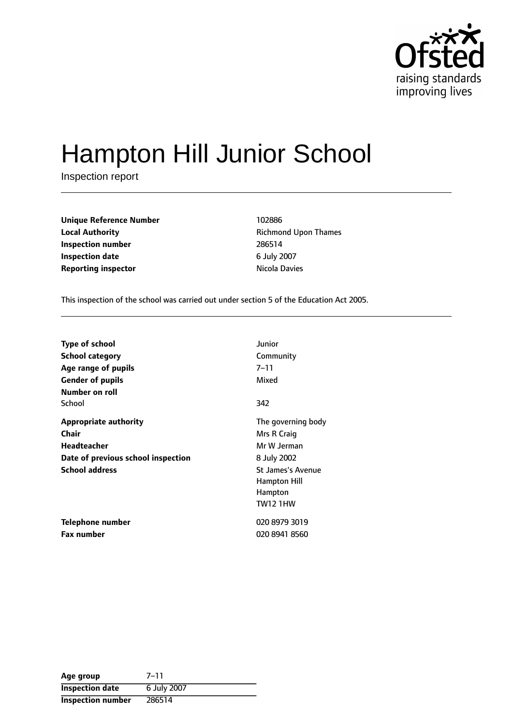

# Hampton Hill Junior School

Inspection report

**Unique Reference Number** 102886 **Local Authority Constanting Richmond Upon Thames Inspection number** 286514 **Inspection date** 6 July 2007 **Reporting inspector Nicola Davies Reporting inspector** 

This inspection of the school was carried out under section 5 of the Education Act 2005.

| <b>Type of school</b>              | Junior                   |
|------------------------------------|--------------------------|
| School category                    | Community                |
| Age range of pupils                | 7–11                     |
| <b>Gender of pupils</b>            | Mixed                    |
| Number on roll                     |                          |
| School                             | 342                      |
| <b>Appropriate authority</b>       | The governing body       |
| Chair                              | Mrs R Craig              |
| <b>Headteacher</b>                 | Mr W Jerman              |
| Date of previous school inspection | 8 July 2002              |
| <b>School address</b>              | <b>St James's Avenue</b> |
|                                    | Hampton Hill             |
|                                    | Hampton                  |
|                                    | <b>TW12 1HW</b>          |
| Telephone number                   | 020 8979 3019            |
| <b>Fax number</b>                  | 020 8941 8560            |

| Age group              | $7 - 11$    |
|------------------------|-------------|
| <b>Inspection date</b> | 6 July 2007 |
| Inspection number      | 286514      |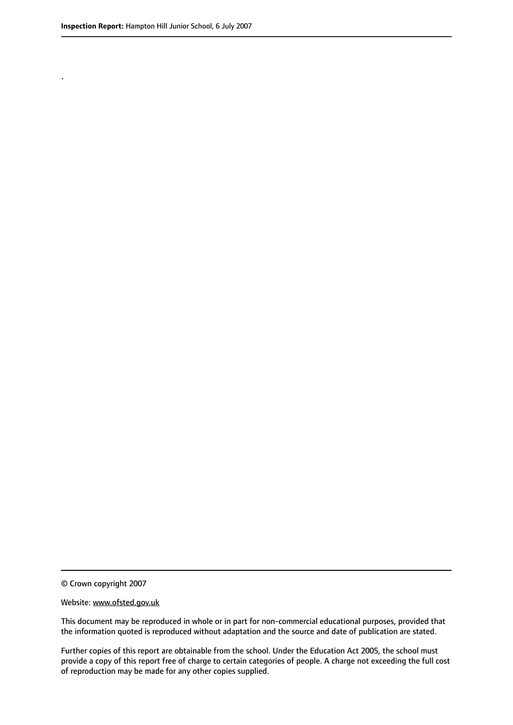.

© Crown copyright 2007

#### Website: www.ofsted.gov.uk

This document may be reproduced in whole or in part for non-commercial educational purposes, provided that the information quoted is reproduced without adaptation and the source and date of publication are stated.

Further copies of this report are obtainable from the school. Under the Education Act 2005, the school must provide a copy of this report free of charge to certain categories of people. A charge not exceeding the full cost of reproduction may be made for any other copies supplied.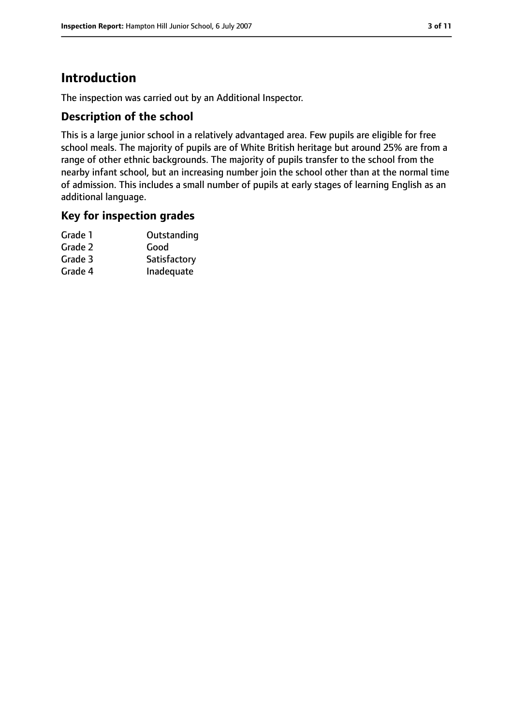# **Introduction**

The inspection was carried out by an Additional Inspector.

#### **Description of the school**

This is a large junior school in a relatively advantaged area. Few pupils are eligible for free school meals. The majority of pupils are of White British heritage but around 25% are from a range of other ethnic backgrounds. The majority of pupils transfer to the school from the nearby infant school, but an increasing number join the school other than at the normal time of admission. This includes a small number of pupils at early stages of learning English as an additional language.

#### **Key for inspection grades**

| Grade 1 | Outstanding  |
|---------|--------------|
| Grade 2 | Good         |
| Grade 3 | Satisfactory |
| Grade 4 | Inadequate   |
|         |              |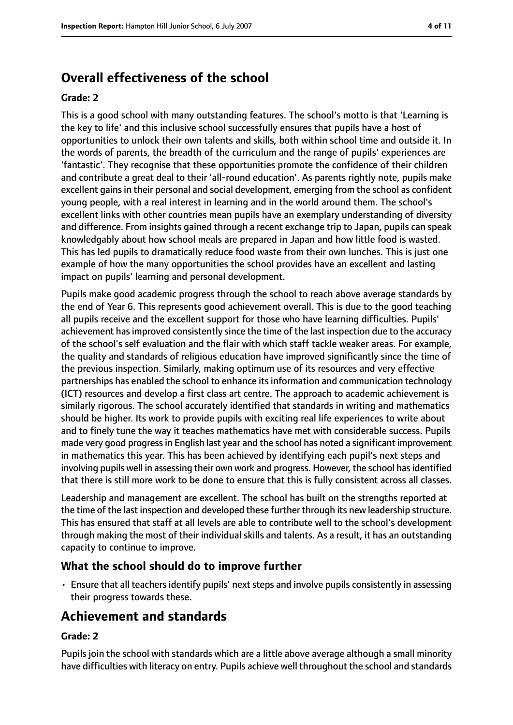# **Overall effectiveness of the school**

#### **Grade: 2**

This is a good school with many outstanding features. The school's motto is that 'Learning is the key to life' and this inclusive school successfully ensures that pupils have a host of opportunities to unlock their own talents and skills, both within school time and outside it. In the words of parents, the breadth of the curriculum and the range of pupils' experiences are 'fantastic'. They recognise that these opportunities promote the confidence of their children and contribute a great deal to their 'all-round education'. As parents rightly note, pupils make excellent gains in their personal and social development, emerging from the school as confident young people, with a real interest in learning and in the world around them. The school's excellent links with other countries mean pupils have an exemplary understanding of diversity and difference. From insights gained through a recent exchange trip to Japan, pupils can speak knowledgably about how school meals are prepared in Japan and how little food is wasted. This has led pupils to dramatically reduce food waste from their own lunches. This is just one example of how the many opportunities the school provides have an excellent and lasting impact on pupils' learning and personal development.

Pupils make good academic progress through the school to reach above average standards by the end of Year 6. This represents good achievement overall. This is due to the good teaching all pupils receive and the excellent support for those who have learning difficulties. Pupils' achievement has improved consistently since the time of the last inspection due to the accuracy of the school's self evaluation and the flair with which staff tackle weaker areas. For example, the quality and standards of religious education have improved significantly since the time of the previous inspection. Similarly, making optimum use of its resources and very effective partnerships has enabled the school to enhance itsinformation and communication technology (ICT) resources and develop a first class art centre. The approach to academic achievement is similarly rigorous. The school accurately identified that standards in writing and mathematics should be higher. Its work to provide pupils with exciting real life experiences to write about and to finely tune the way it teaches mathematics have met with considerable success. Pupils made very good progressin English last year and the school has noted a significant improvement in mathematics this year. This has been achieved by identifying each pupil's next steps and involving pupils well in assessing their own work and progress. However, the school has identified that there is still more work to be done to ensure that this is fully consistent across all classes.

Leadership and management are excellent. The school has built on the strengths reported at the time of the last inspection and developed these further through its new leadership structure. This has ensured that staff at all levels are able to contribute well to the school's development through making the most of their individual skills and talents. As a result, it has an outstanding capacity to continue to improve.

#### **What the school should do to improve further**

• Ensure that all teachers identify pupils' next steps and involve pupils consistently in assessing their progress towards these.

# **Achievement and standards**

#### **Grade: 2**

Pupils join the school with standards which are a little above average although a small minority have difficulties with literacy on entry. Pupils achieve well throughout the school and standards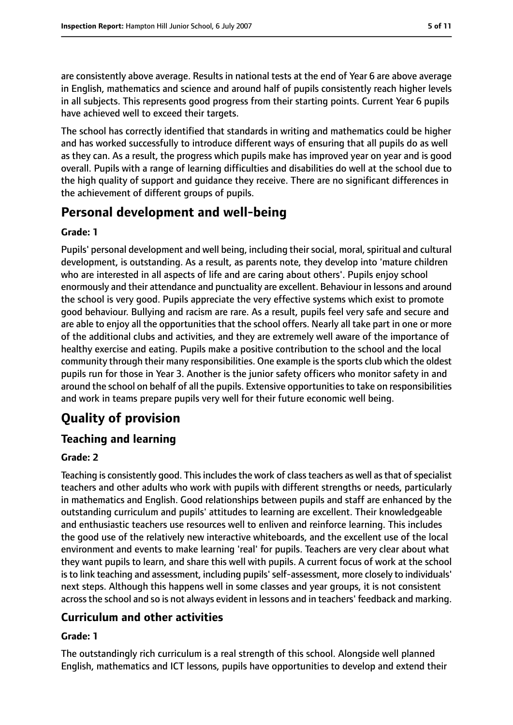are consistently above average. Results in national tests at the end of Year 6 are above average in English, mathematics and science and around half of pupils consistently reach higher levels in all subjects. This represents good progress from their starting points. Current Year 6 pupils have achieved well to exceed their targets.

The school has correctly identified that standards in writing and mathematics could be higher and has worked successfully to introduce different ways of ensuring that all pupils do as well as they can. As a result, the progress which pupils make has improved year on year and is good overall. Pupils with a range of learning difficulties and disabilities do well at the school due to the high quality of support and guidance they receive. There are no significant differences in the achievement of different groups of pupils.

# **Personal development and well-being**

#### **Grade: 1**

Pupils' personal development and well being, including their social, moral, spiritual and cultural development, is outstanding. As a result, as parents note, they develop into 'mature children who are interested in all aspects of life and are caring about others'. Pupils enjoy school enormously and their attendance and punctuality are excellent. Behaviour in lessons and around the school is very good. Pupils appreciate the very effective systems which exist to promote good behaviour. Bullying and racism are rare. As a result, pupils feel very safe and secure and are able to enjoy all the opportunities that the school offers. Nearly all take part in one or more of the additional clubs and activities, and they are extremely well aware of the importance of healthy exercise and eating. Pupils make a positive contribution to the school and the local community through their many responsibilities. One example is the sports club which the oldest pupils run for those in Year 3. Another is the junior safety officers who monitor safety in and around the school on behalf of all the pupils. Extensive opportunities to take on responsibilities and work in teams prepare pupils very well for their future economic well being.

# **Quality of provision**

#### **Teaching and learning**

#### **Grade: 2**

Teaching is consistently good. This includes the work of class teachers as well as that of specialist teachers and other adults who work with pupils with different strengths or needs, particularly in mathematics and English. Good relationships between pupils and staff are enhanced by the outstanding curriculum and pupils' attitudes to learning are excellent. Their knowledgeable and enthusiastic teachers use resources well to enliven and reinforce learning. This includes the good use of the relatively new interactive whiteboards, and the excellent use of the local environment and events to make learning 'real' for pupils. Teachers are very clear about what they want pupils to learn, and share this well with pupils. A current focus of work at the school isto link teaching and assessment, including pupils'self-assessment, more closely to individuals' next steps. Although this happens well in some classes and year groups, it is not consistent acrossthe school and so is not always evident in lessons and in teachers' feedback and marking.

## **Curriculum and other activities**

#### **Grade: 1**

The outstandingly rich curriculum is a real strength of this school. Alongside well planned English, mathematics and ICT lessons, pupils have opportunities to develop and extend their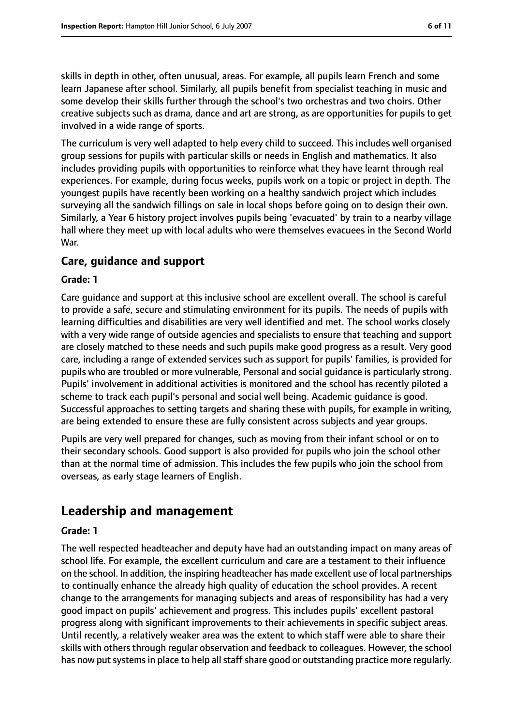skills in depth in other, often unusual, areas. For example, all pupils learn French and some learn Japanese after school. Similarly, all pupils benefit from specialist teaching in music and some develop their skills further through the school's two orchestras and two choirs. Other creative subjects such as drama, dance and art are strong, as are opportunities for pupils to get involved in a wide range of sports.

The curriculum is very well adapted to help every child to succeed. This includes well organised group sessions for pupils with particular skills or needs in English and mathematics. It also includes providing pupils with opportunities to reinforce what they have learnt through real experiences. For example, during focus weeks, pupils work on a topic or project in depth. The youngest pupils have recently been working on a healthy sandwich project which includes surveying all the sandwich fillings on sale in local shops before going on to design their own. Similarly, a Year 6 history project involves pupils being 'evacuated' by train to a nearby village hall where they meet up with local adults who were themselves evacuees in the Second World War.

#### **Care, guidance and support**

#### **Grade: 1**

Care guidance and support at this inclusive school are excellent overall. The school is careful to provide a safe, secure and stimulating environment for its pupils. The needs of pupils with learning difficulties and disabilities are very well identified and met. The school works closely with a very wide range of outside agencies and specialists to ensure that teaching and support are closely matched to these needs and such pupils make good progress as a result. Very good care, including a range of extended services such as support for pupils' families, is provided for pupils who are troubled or more vulnerable, Personal and social guidance is particularly strong. Pupils' involvement in additional activities is monitored and the school has recently piloted a scheme to track each pupil's personal and social well being. Academic guidance is good. Successful approaches to setting targets and sharing these with pupils, for example in writing, are being extended to ensure these are fully consistent across subjects and year groups.

Pupils are very well prepared for changes, such as moving from their infant school or on to their secondary schools. Good support is also provided for pupils who join the school other than at the normal time of admission. This includes the few pupils who join the school from overseas, as early stage learners of English.

# **Leadership and management**

#### **Grade: 1**

The well respected headteacher and deputy have had an outstanding impact on many areas of school life. For example, the excellent curriculum and care are a testament to their influence on the school. In addition, the inspiring headteacher has made excellent use of local partnerships to continually enhance the already high quality of education the school provides. A recent change to the arrangements for managing subjects and areas of responsibility has had a very good impact on pupils' achievement and progress. This includes pupils' excellent pastoral progress along with significant improvements to their achievements in specific subject areas. Until recently, a relatively weaker area was the extent to which staff were able to share their skills with others through regular observation and feedback to colleagues. However, the school has now put systems in place to help all staff share good or outstanding practice more regularly.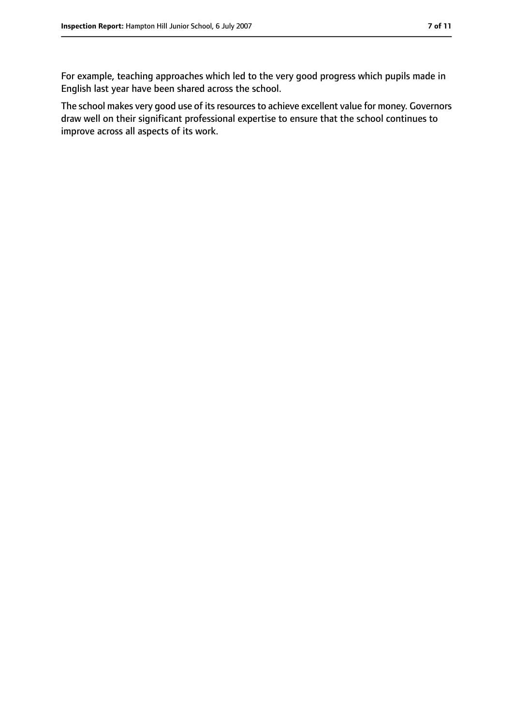For example, teaching approaches which led to the very good progress which pupils made in English last year have been shared across the school.

The school makes very good use of its resources to achieve excellent value for money. Governors draw well on their significant professional expertise to ensure that the school continues to improve across all aspects of its work.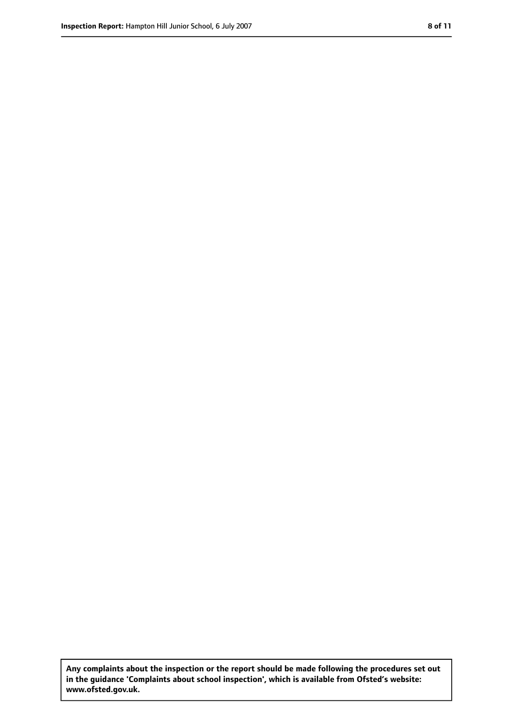**Any complaints about the inspection or the report should be made following the procedures set out in the guidance 'Complaints about school inspection', which is available from Ofsted's website: www.ofsted.gov.uk.**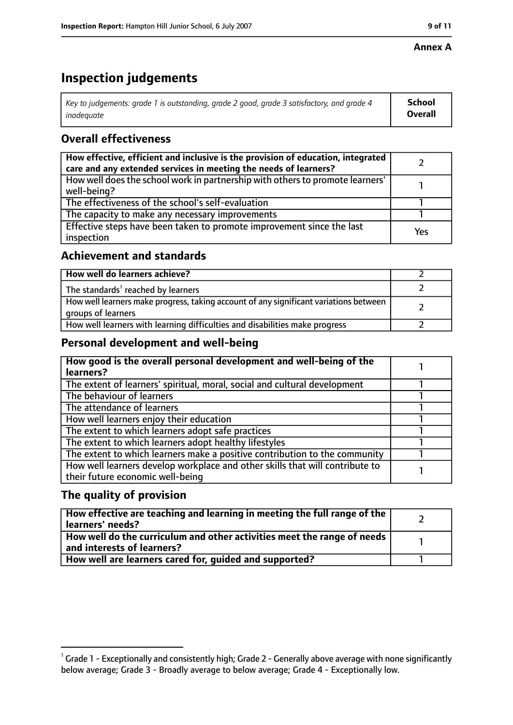#### **Annex A**

# **Inspection judgements**

| Key to judgements: grade 1 is outstanding, grade 2 good, grade 3 satisfactory, and grade 4 | School  |
|--------------------------------------------------------------------------------------------|---------|
| inadeauate                                                                                 | Overall |

## **Overall effectiveness**

| How effective, efficient and inclusive is the provision of education, integrated<br>care and any extended services in meeting the needs of learners? |     |
|------------------------------------------------------------------------------------------------------------------------------------------------------|-----|
| How well does the school work in partnership with others to promote learners'<br>well-being?                                                         |     |
| The effectiveness of the school's self-evaluation                                                                                                    |     |
| The capacity to make any necessary improvements                                                                                                      |     |
| Effective steps have been taken to promote improvement since the last<br>inspection                                                                  | Yes |

#### **Achievement and standards**

| How well do learners achieve?                                                                               |  |
|-------------------------------------------------------------------------------------------------------------|--|
| The standards <sup>1</sup> reached by learners                                                              |  |
| How well learners make progress, taking account of any significant variations between<br>groups of learners |  |
| How well learners with learning difficulties and disabilities make progress                                 |  |

## **Personal development and well-being**

| How good is the overall personal development and well-being of the<br>learners?                                  |  |
|------------------------------------------------------------------------------------------------------------------|--|
| The extent of learners' spiritual, moral, social and cultural development                                        |  |
| The behaviour of learners                                                                                        |  |
| The attendance of learners                                                                                       |  |
| How well learners enjoy their education                                                                          |  |
| The extent to which learners adopt safe practices                                                                |  |
| The extent to which learners adopt healthy lifestyles                                                            |  |
| The extent to which learners make a positive contribution to the community                                       |  |
| How well learners develop workplace and other skills that will contribute to<br>their future economic well-being |  |

## **The quality of provision**

| How effective are teaching and learning in meeting the full range of the<br>learners' needs?                        |  |
|---------------------------------------------------------------------------------------------------------------------|--|
| $\mid$ How well do the curriculum and other activities meet the range of needs $\mid$<br>and interests of learners? |  |
| How well are learners cared for, quided and supported?                                                              |  |

 $^1$  Grade 1 - Exceptionally and consistently high; Grade 2 - Generally above average with none significantly below average; Grade 3 - Broadly average to below average; Grade 4 - Exceptionally low.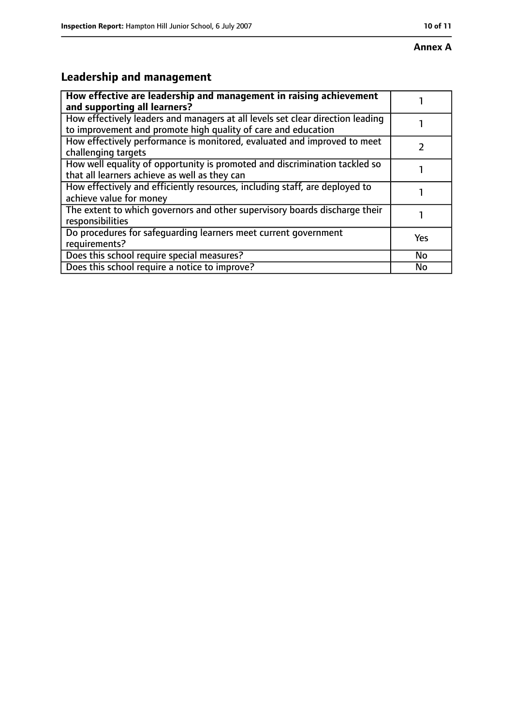# **Leadership and management**

| How effective are leadership and management in raising achievement<br>and supporting all learners?                                              |           |
|-------------------------------------------------------------------------------------------------------------------------------------------------|-----------|
| How effectively leaders and managers at all levels set clear direction leading<br>to improvement and promote high quality of care and education |           |
| How effectively performance is monitored, evaluated and improved to meet<br>challenging targets                                                 |           |
| How well equality of opportunity is promoted and discrimination tackled so<br>that all learners achieve as well as they can                     |           |
| How effectively and efficiently resources, including staff, are deployed to<br>achieve value for money                                          |           |
| The extent to which governors and other supervisory boards discharge their<br>responsibilities                                                  |           |
| Do procedures for safeguarding learners meet current government<br>requirements?                                                                | Yes       |
| Does this school require special measures?                                                                                                      | <b>No</b> |
| Does this school require a notice to improve?                                                                                                   | No        |